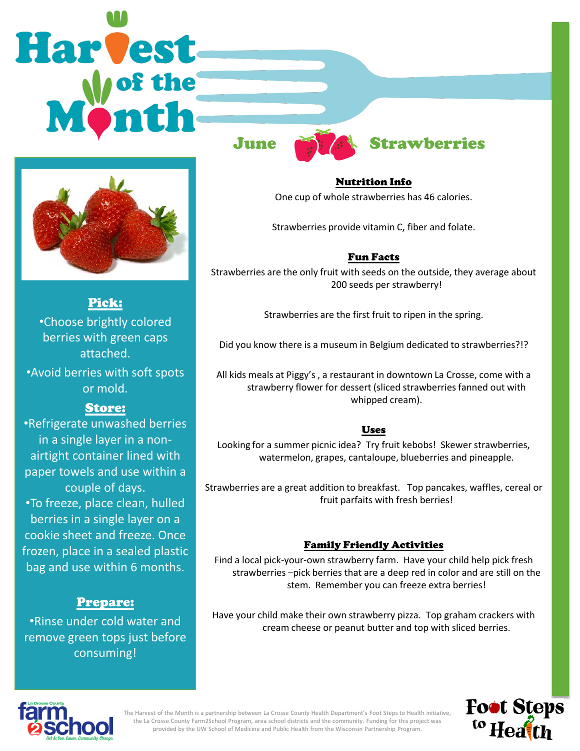# Harvest



Pick: •Choose brightly colored

berries with green caps attached.

•Avoid berries with soft spots or mold.

# Store:

•Refrigerate unwashed berries in a single layer in a nonairtight container lined with paper towels and use within a couple of days. •To freeze, place clean, hulled berries in a single layer on a cookie sheet and freeze. Once frozen, place in a sealed plastic bag and use within 6 months.

# Prepare:

•Rinse under cold water and remove green tops just before consuming!



Nutrition Info One cup of whole strawberries has 46 calories.

Strawberries provide vitamin C, fiber and folate.

## Fun Facts

Strawberries are the only fruit with seeds on the outside, they average about 200 seeds per strawberry!

Strawberries are the first fruit to ripen in the spring.

Did you know there is a museum in Belgium dedicated to strawberries?!?

All kids meals at Piggy's , a restaurant in downtown La Crosse, come with a strawberry flower for dessert (sliced strawberries fanned out with whipped cream).

### Uses

Looking for a summer picnic idea? Try fruit kebobs! Skewer strawberries, watermelon, grapes, cantaloupe, blueberries and pineapple.

Strawberries are a great addition to breakfast. Top pancakes, waffles, cereal or fruit parfaits with fresh berries!

## Family Friendly Activities

Find a local pick-your-own strawberry farm. Have your child help pick fresh strawberries –pick berries that are a deep red in color and are still on the stem. Remember you can freeze extra berries!

Have your child make their own strawberry pizza. Top graham crackers with cream cheese or peanut butter and top with sliced berries.